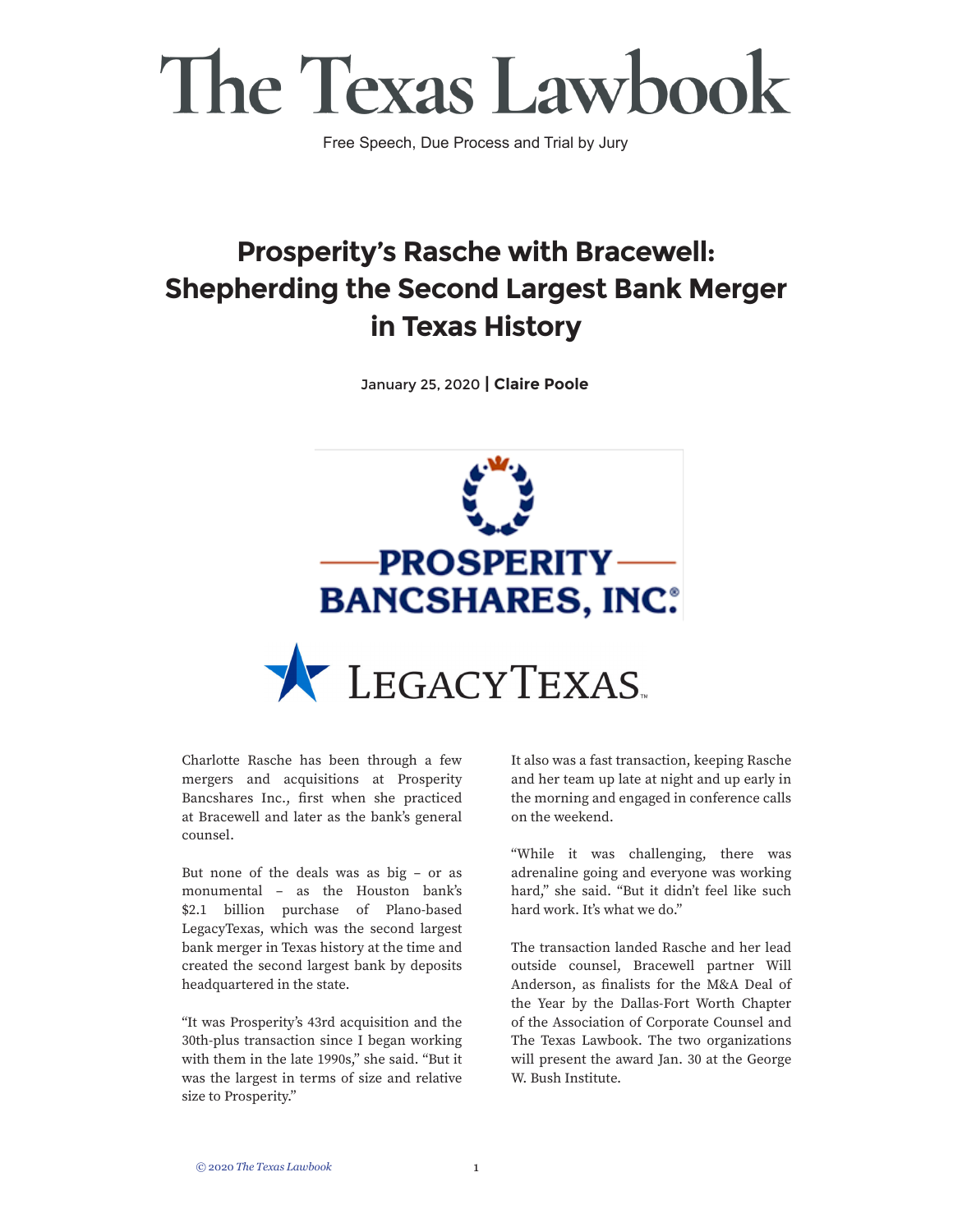Free Speech, Due Process and Trial by Jury

#### **Prosperity's Rasche with Bracewell: Shepherding the Second Largest Bank Merger in Texas History**

January 25, 2020 **| Claire Poole**



Charlotte Rasche has been through a few mergers and acquisitions at Prosperity Bancshares Inc., first when she practiced at Bracewell and later as the bank's general counsel.

But none of the deals was as big – or as monumental – as the Houston bank's \$2.1 billion purchase of Plano-based LegacyTexas, which was the second largest bank merger in Texas history at the time and created the second largest bank by deposits headquartered in the state.

"It was Prosperity's 43rd acquisition and the 30th-plus transaction since I began working with them in the late 1990s," she said. "But it was the largest in terms of size and relative size to Prosperity."

It also was a fast transaction, keeping Rasche and her team up late at night and up early in the morning and engaged in conference calls on the weekend.

"While it was challenging, there was adrenaline going and everyone was working hard," she said. "But it didn't feel like such hard work. It's what we do."

The transaction landed Rasche and her lead outside counsel, Bracewell partner Will Anderson, as finalists for the M&A Deal of the Year by the Dallas-Fort Worth Chapter of the Association of Corporate Counsel and The Texas Lawbook. The two organizations will present the award Jan. 30 at the George W. Bush Institute.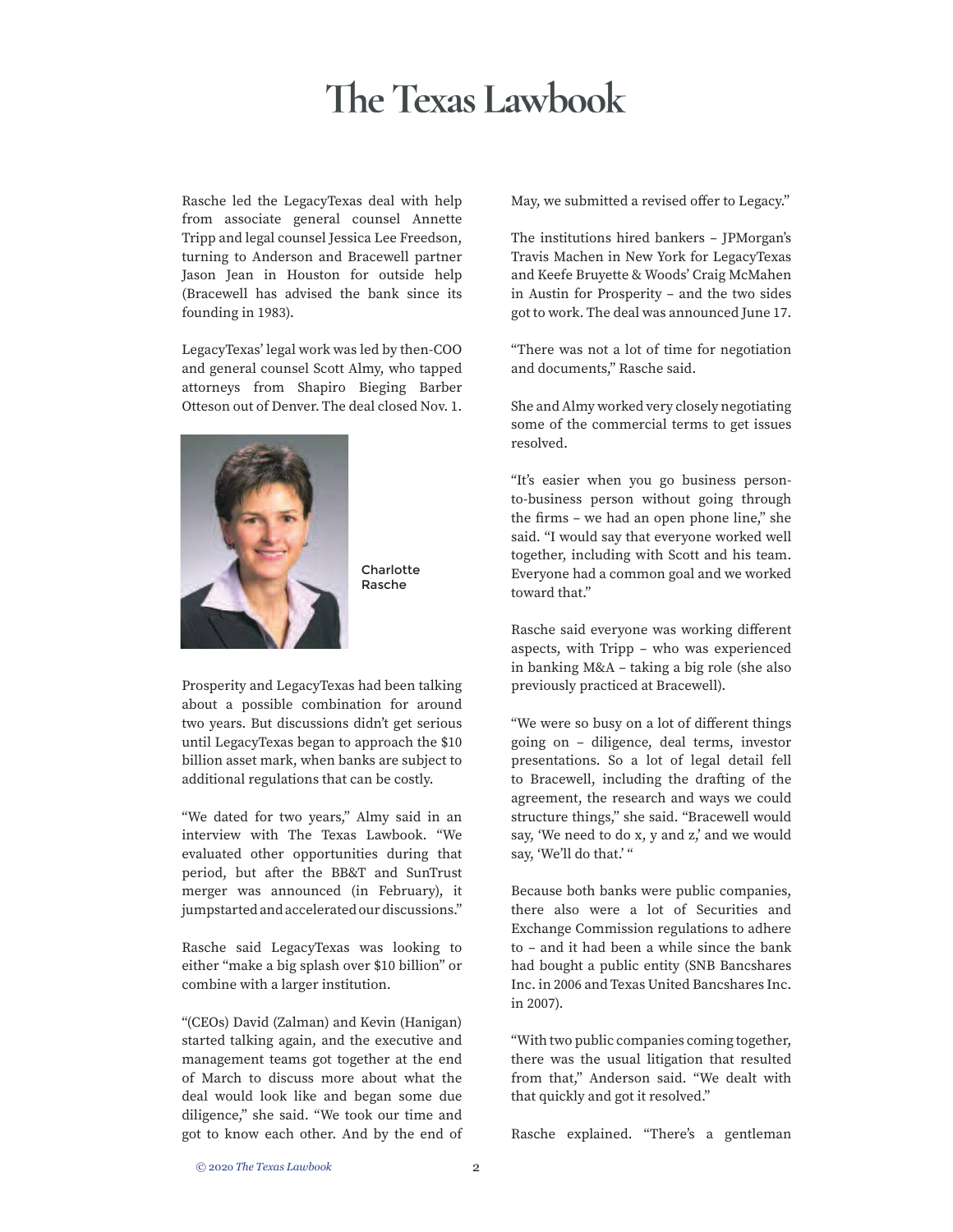Rasche led the LegacyTexas deal with help from associate general counsel Annette Tripp and legal counsel Jessica Lee Freedson, turning to Anderson and Bracewell partner Jason Jean in Houston for outside help (Bracewell has advised the bank since its founding in 1983).

LegacyTexas' legal work was led by then-COO and general counsel Scott Almy, who tapped attorneys from Shapiro Bieging Barber Otteson out of Denver. The deal closed Nov. 1.



**Charlotte** Rasche

Prosperity and LegacyTexas had been talking about a possible combination for around two years. But discussions didn't get serious until LegacyTexas began to approach the \$10 billion asset mark, when banks are subject to additional regulations that can be costly.

"We dated for two years," Almy said in an interview with The Texas Lawbook. "We evaluated other opportunities during that period, but after the BB&T and SunTrust merger was announced (in February), it jumpstarted and accelerated our discussions."

Rasche said LegacyTexas was looking to either "make a big splash over \$10 billion" or combine with a larger institution.

"(CEOs) David (Zalman) and Kevin (Hanigan) started talking again, and the executive and management teams got together at the end of March to discuss more about what the deal would look like and began some due diligence," she said. "We took our time and got to know each other. And by the end of May, we submitted a revised offer to Legacy."

The institutions hired bankers – JPMorgan's Travis Machen in New York for LegacyTexas and Keefe Bruyette & Woods' Craig McMahen in Austin for Prosperity – and the two sides got to work. The deal was announced June 17.

"There was not a lot of time for negotiation and documents," Rasche said.

She and Almy worked very closely negotiating some of the commercial terms to get issues resolved.

"It's easier when you go business personto-business person without going through the firms – we had an open phone line," she said. "I would say that everyone worked well together, including with Scott and his team. Everyone had a common goal and we worked toward that."

Rasche said everyone was working different aspects, with Tripp – who was experienced in banking M&A – taking a big role (she also previously practiced at Bracewell).

"We were so busy on a lot of different things going on – diligence, deal terms, investor presentations. So a lot of legal detail fell to Bracewell, including the drafting of the agreement, the research and ways we could structure things," she said. "Bracewell would say, 'We need to do x, y and z,' and we would say, 'We'll do that.' "

Because both banks were public companies, there also were a lot of Securities and Exchange Commission regulations to adhere to – and it had been a while since the bank had bought a public entity (SNB Bancshares Inc. in 2006 and Texas United Bancshares Inc. in 2007).

"With two public companies coming together, there was the usual litigation that resulted from that," Anderson said. "We dealt with that quickly and got it resolved."

Rasche explained. "There's a gentleman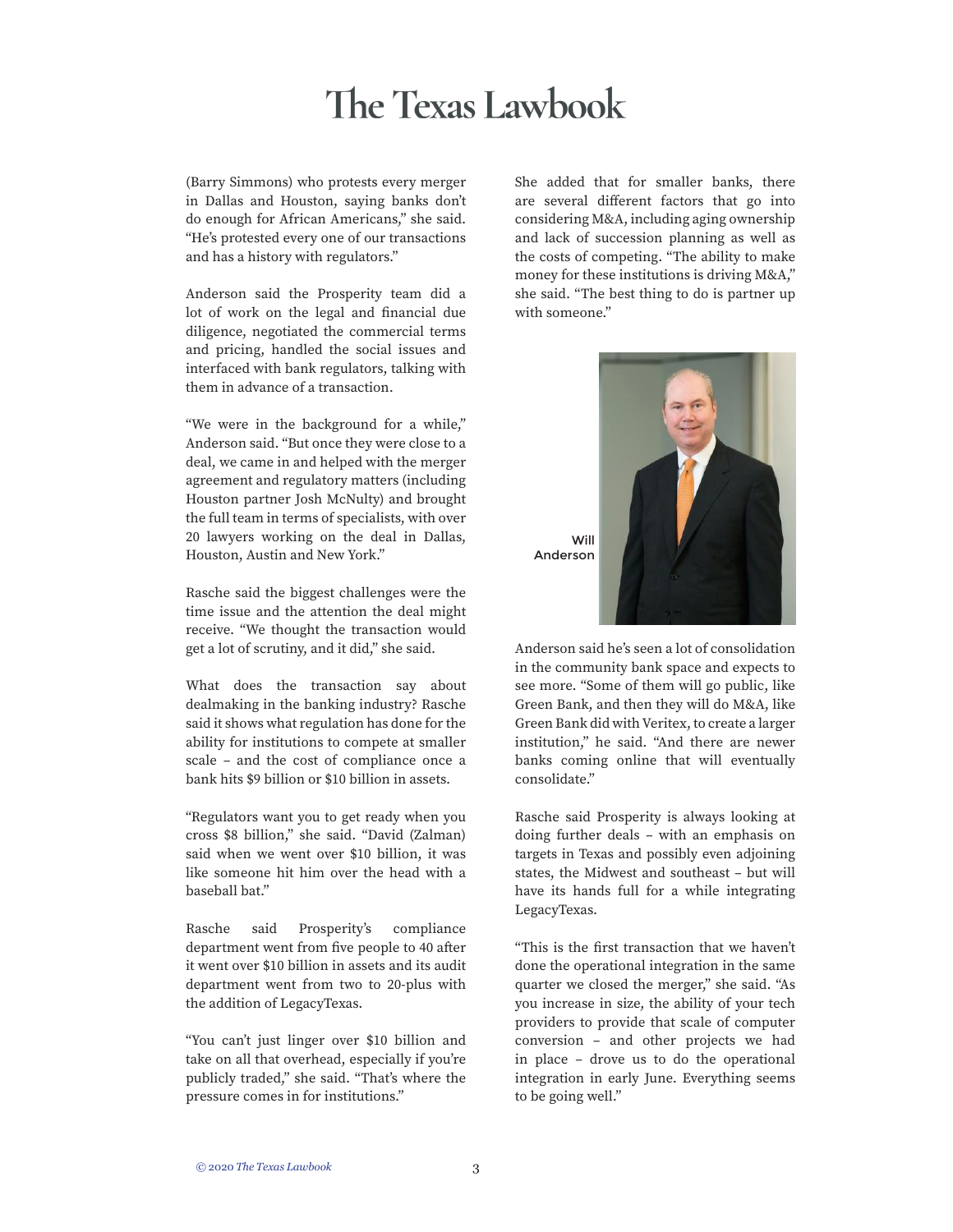(Barry Simmons) who protests every merger in Dallas and Houston, saying banks don't do enough for African Americans," she said. "He's protested every one of our transactions and has a history with regulators."

Anderson said the Prosperity team did a lot of work on the legal and financial due diligence, negotiated the commercial terms and pricing, handled the social issues and interfaced with bank regulators, talking with them in advance of a transaction.

"We were in the background for a while," Anderson said. "But once they were close to a deal, we came in and helped with the merger agreement and regulatory matters (including Houston partner Josh McNulty) and brought the full team in terms of specialists, with over 20 lawyers working on the deal in Dallas, Houston, Austin and New York."

Rasche said the biggest challenges were the time issue and the attention the deal might receive. "We thought the transaction would get a lot of scrutiny, and it did," she said.

What does the transaction say about dealmaking in the banking industry? Rasche said it shows what regulation has done for the ability for institutions to compete at smaller scale – and the cost of compliance once a bank hits \$9 billion or \$10 billion in assets.

"Regulators want you to get ready when you cross \$8 billion," she said. "David (Zalman) said when we went over \$10 billion, it was like someone hit him over the head with a baseball bat."

Rasche said Prosperity's compliance department went from five people to 40 after it went over \$10 billion in assets and its audit department went from two to 20-plus with the addition of LegacyTexas.

"You can't just linger over \$10 billion and take on all that overhead, especially if you're publicly traded," she said. "That's where the pressure comes in for institutions."

She added that for smaller banks, there are several different factors that go into considering M&A, including aging ownership and lack of succession planning as well as the costs of competing. "The ability to make money for these institutions is driving M&A," she said. "The best thing to do is partner up with someone."



Anderson said he's seen a lot of consolidation in the community bank space and expects to see more. "Some of them will go public, like Green Bank, and then they will do M&A, like Green Bank did with Veritex, to create a larger institution," he said. "And there are newer banks coming online that will eventually consolidate."

Rasche said Prosperity is always looking at doing further deals – with an emphasis on targets in Texas and possibly even adjoining states, the Midwest and southeast – but will have its hands full for a while integrating LegacyTexas.

"This is the first transaction that we haven't done the operational integration in the same quarter we closed the merger," she said. "As you increase in size, the ability of your tech providers to provide that scale of computer conversion – and other projects we had in place – drove us to do the operational integration in early June. Everything seems to be going well."